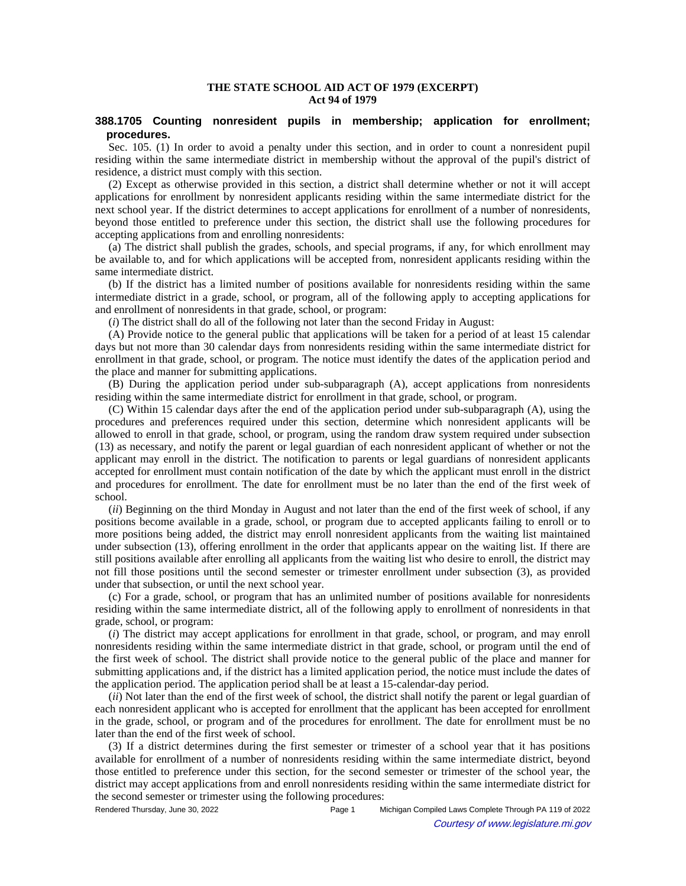## **THE STATE SCHOOL AID ACT OF 1979 (EXCERPT) Act 94 of 1979**

## **388.1705 Counting nonresident pupils in membership; application for enrollment; procedures.**

Sec. 105. (1) In order to avoid a penalty under this section, and in order to count a nonresident pupil residing within the same intermediate district in membership without the approval of the pupil's district of residence, a district must comply with this section.

(2) Except as otherwise provided in this section, a district shall determine whether or not it will accept applications for enrollment by nonresident applicants residing within the same intermediate district for the next school year. If the district determines to accept applications for enrollment of a number of nonresidents, beyond those entitled to preference under this section, the district shall use the following procedures for accepting applications from and enrolling nonresidents:

(a) The district shall publish the grades, schools, and special programs, if any, for which enrollment may be available to, and for which applications will be accepted from, nonresident applicants residing within the same intermediate district.

(b) If the district has a limited number of positions available for nonresidents residing within the same intermediate district in a grade, school, or program, all of the following apply to accepting applications for and enrollment of nonresidents in that grade, school, or program:

(*i*) The district shall do all of the following not later than the second Friday in August:

(A) Provide notice to the general public that applications will be taken for a period of at least 15 calendar days but not more than 30 calendar days from nonresidents residing within the same intermediate district for enrollment in that grade, school, or program. The notice must identify the dates of the application period and the place and manner for submitting applications.

(B) During the application period under sub-subparagraph (A), accept applications from nonresidents residing within the same intermediate district for enrollment in that grade, school, or program.

(C) Within 15 calendar days after the end of the application period under sub-subparagraph (A), using the procedures and preferences required under this section, determine which nonresident applicants will be allowed to enroll in that grade, school, or program, using the random draw system required under subsection (13) as necessary, and notify the parent or legal guardian of each nonresident applicant of whether or not the applicant may enroll in the district. The notification to parents or legal guardians of nonresident applicants accepted for enrollment must contain notification of the date by which the applicant must enroll in the district and procedures for enrollment. The date for enrollment must be no later than the end of the first week of school.

(*ii*) Beginning on the third Monday in August and not later than the end of the first week of school, if any positions become available in a grade, school, or program due to accepted applicants failing to enroll or to more positions being added, the district may enroll nonresident applicants from the waiting list maintained under subsection (13), offering enrollment in the order that applicants appear on the waiting list. If there are still positions available after enrolling all applicants from the waiting list who desire to enroll, the district may not fill those positions until the second semester or trimester enrollment under subsection (3), as provided under that subsection, or until the next school year.

(c) For a grade, school, or program that has an unlimited number of positions available for nonresidents residing within the same intermediate district, all of the following apply to enrollment of nonresidents in that grade, school, or program:

(*i*) The district may accept applications for enrollment in that grade, school, or program, and may enroll nonresidents residing within the same intermediate district in that grade, school, or program until the end of the first week of school. The district shall provide notice to the general public of the place and manner for submitting applications and, if the district has a limited application period, the notice must include the dates of the application period. The application period shall be at least a 15-calendar-day period.

(*ii*) Not later than the end of the first week of school, the district shall notify the parent or legal guardian of each nonresident applicant who is accepted for enrollment that the applicant has been accepted for enrollment in the grade, school, or program and of the procedures for enrollment. The date for enrollment must be no later than the end of the first week of school.

(3) If a district determines during the first semester or trimester of a school year that it has positions available for enrollment of a number of nonresidents residing within the same intermediate district, beyond those entitled to preference under this section, for the second semester or trimester of the school year, the district may accept applications from and enroll nonresidents residing within the same intermediate district for the second semester or trimester using the following procedures:

Rendered Thursday, June 30, 2022 Page 1 Michigan Compiled Laws Complete Through PA 119 of 2022 Courtesy of www.legislature.mi.gov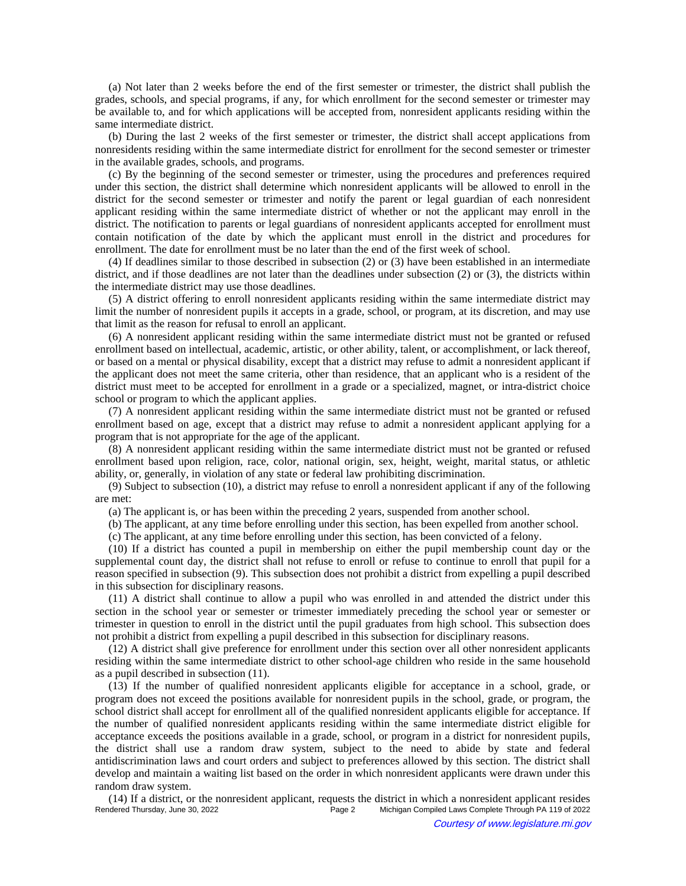(a) Not later than 2 weeks before the end of the first semester or trimester, the district shall publish the grades, schools, and special programs, if any, for which enrollment for the second semester or trimester may be available to, and for which applications will be accepted from, nonresident applicants residing within the same intermediate district.

(b) During the last 2 weeks of the first semester or trimester, the district shall accept applications from nonresidents residing within the same intermediate district for enrollment for the second semester or trimester in the available grades, schools, and programs.

(c) By the beginning of the second semester or trimester, using the procedures and preferences required under this section, the district shall determine which nonresident applicants will be allowed to enroll in the district for the second semester or trimester and notify the parent or legal guardian of each nonresident applicant residing within the same intermediate district of whether or not the applicant may enroll in the district. The notification to parents or legal guardians of nonresident applicants accepted for enrollment must contain notification of the date by which the applicant must enroll in the district and procedures for enrollment. The date for enrollment must be no later than the end of the first week of school.

(4) If deadlines similar to those described in subsection (2) or (3) have been established in an intermediate district, and if those deadlines are not later than the deadlines under subsection (2) or (3), the districts within the intermediate district may use those deadlines.

(5) A district offering to enroll nonresident applicants residing within the same intermediate district may limit the number of nonresident pupils it accepts in a grade, school, or program, at its discretion, and may use that limit as the reason for refusal to enroll an applicant.

(6) A nonresident applicant residing within the same intermediate district must not be granted or refused enrollment based on intellectual, academic, artistic, or other ability, talent, or accomplishment, or lack thereof, or based on a mental or physical disability, except that a district may refuse to admit a nonresident applicant if the applicant does not meet the same criteria, other than residence, that an applicant who is a resident of the district must meet to be accepted for enrollment in a grade or a specialized, magnet, or intra-district choice school or program to which the applicant applies.

(7) A nonresident applicant residing within the same intermediate district must not be granted or refused enrollment based on age, except that a district may refuse to admit a nonresident applicant applying for a program that is not appropriate for the age of the applicant.

(8) A nonresident applicant residing within the same intermediate district must not be granted or refused enrollment based upon religion, race, color, national origin, sex, height, weight, marital status, or athletic ability, or, generally, in violation of any state or federal law prohibiting discrimination.

(9) Subject to subsection (10), a district may refuse to enroll a nonresident applicant if any of the following are met:

(a) The applicant is, or has been within the preceding 2 years, suspended from another school.

(b) The applicant, at any time before enrolling under this section, has been expelled from another school.

(c) The applicant, at any time before enrolling under this section, has been convicted of a felony.

(10) If a district has counted a pupil in membership on either the pupil membership count day or the supplemental count day, the district shall not refuse to enroll or refuse to continue to enroll that pupil for a reason specified in subsection (9). This subsection does not prohibit a district from expelling a pupil described in this subsection for disciplinary reasons.

(11) A district shall continue to allow a pupil who was enrolled in and attended the district under this section in the school year or semester or trimester immediately preceding the school year or semester or trimester in question to enroll in the district until the pupil graduates from high school. This subsection does not prohibit a district from expelling a pupil described in this subsection for disciplinary reasons.

(12) A district shall give preference for enrollment under this section over all other nonresident applicants residing within the same intermediate district to other school-age children who reside in the same household as a pupil described in subsection (11).

(13) If the number of qualified nonresident applicants eligible for acceptance in a school, grade, or program does not exceed the positions available for nonresident pupils in the school, grade, or program, the school district shall accept for enrollment all of the qualified nonresident applicants eligible for acceptance. If the number of qualified nonresident applicants residing within the same intermediate district eligible for acceptance exceeds the positions available in a grade, school, or program in a district for nonresident pupils, the district shall use a random draw system, subject to the need to abide by state and federal antidiscrimination laws and court orders and subject to preferences allowed by this section. The district shall develop and maintain a waiting list based on the order in which nonresident applicants were drawn under this random draw system.

(14) If a district, or the nonresident applicant, requests the district in which a nonresident applicant resides Michigan Compiled Laws Complete Through PA 119 of 2022 Courtesy of www.legislature.mi.gov